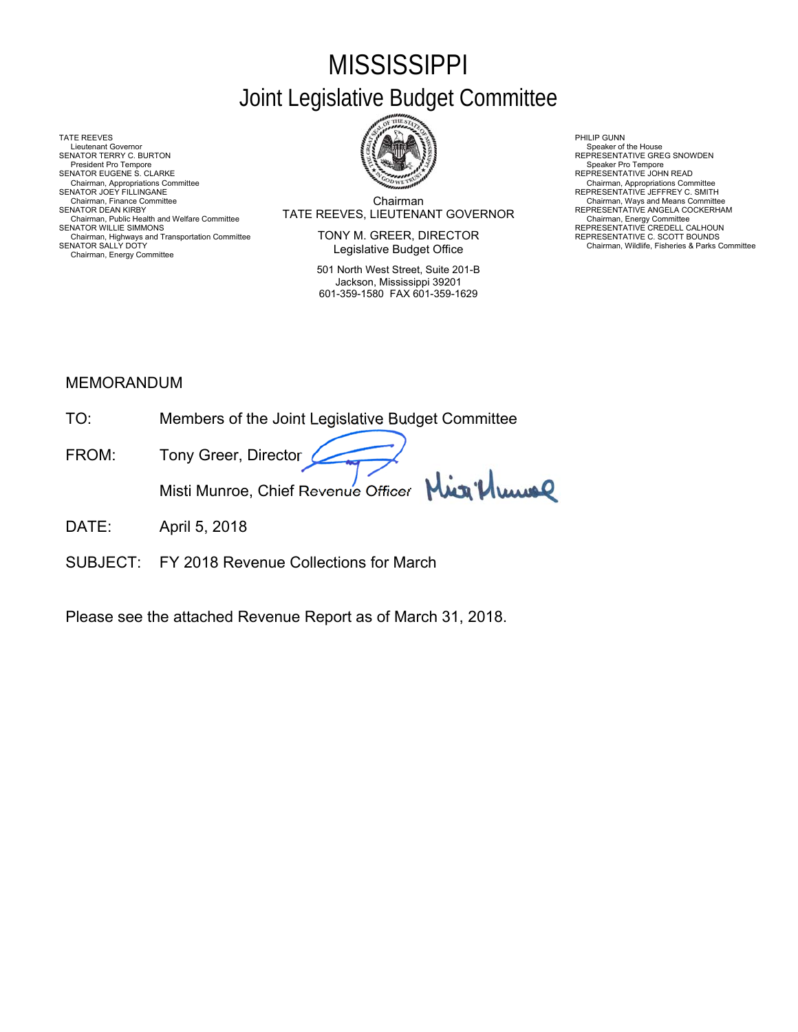# **MISSISSIPPI** Joint Legislative Budget Committee

TATE REEVES PHILIP GUNN AND RELATIONS OF THE REEVES AND RELATIONS OF THE REEVES AND RELATIONS OF THE RELATIONS OF THE RELATIONS OF THE RELATIONS OF THE RELATIONS OF THE RELATIONS OF THE RELATIONS OF THE RELATIONS OF THE R Lieutenant Governor<br>SENATOR TERRY C. BURTON President Pro Tempore<br>SENATOR EUGENE S. CLARKE SENATOR EUGENE S. CLARKE<br>Chairman, Appropriations Committee Chairman, Appropriations Committee Chairman, Appropriations Committee Chairm<br>SENATOR JOEY FILLINGANE C. SMITH Chairman, Appropriations Committee Chairman, Appropriations Chairman, Appropriations Chairman, Appropriations Chairman, Finance Committee Chairman, Finance Committee Chairman, Finance Committee Chairman, CONCERNATION CONTE Chairman, Public Health and Welfare Committee **IAIE REEVES, LIEU I ENAN I GOVERNOR**<br>SENATOR WILLIE SIMMONS **REPRESENTATIVE CREDELL CALHOUN** Chairman, Highways and Transportation Committee<br>SENATOR SALLY DOTY Chairman, Energy Committee



Chairman SENATOR DEAN KIRBY (RERESENTATIVE ANGELA COCKERHAM TRATE REEVES, LIEUTENANT GOVERNOR FREPRESENTATIVE ANGELA COCKERHAM<br>Chairman, Public Health and Welfare Committee Committee Committee Committee Committee Committee Committe

> TONY M. GREER, DIRECTOR Legislative Budget Office

501 North West Street, Suite 201-B Jackson, Mississippi 39201 601-359-1580 FAX 601-359-1629

Speaker of the House<br>REPRESENTATIVE GREG SNOWDEN<br>Speaker Pro Tempore

SENATOR SENATOR SALLY DE CONSIDERED SALLY DEPRESENTATIVE C. SCOTT BOUNDS<br>Chairman, Wildlife, Fisheries & Parks Committee

## MEMORANDUM

- TO: Members of the Joint Legislative Budget Committee
- FROM: Tony Greer, Director Juice Misti Munroe, Chief Revenue Officer
- DATE: April 5, 2018
- SUBJECT: FY 2018 Revenue Collections for March

Please see the attached Revenue Report as of March 31, 2018.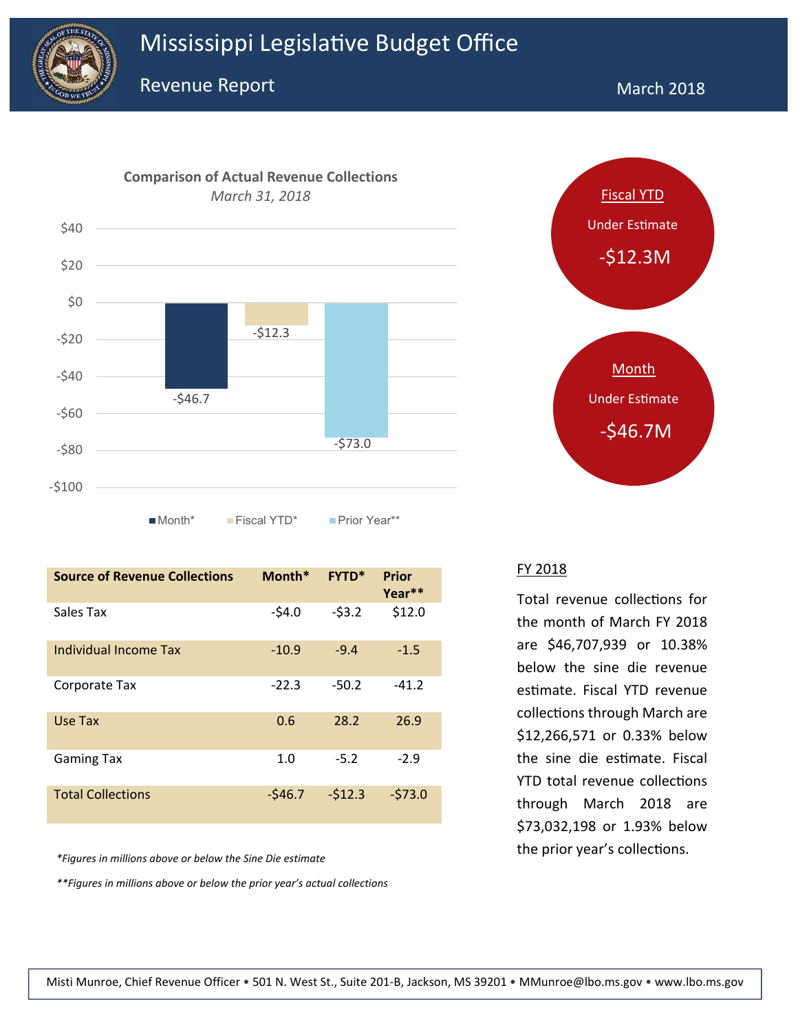



| <b>Source of Revenue Collections</b> | Month*   | <b>FYTD*</b> | Prior<br>Year** |
|--------------------------------------|----------|--------------|-----------------|
| Sales Tax                            | $-54.0$  | $-53.2$      | \$12.0          |
| Individual Income Tax                | $-10.9$  | $-9.4$       | $-1.5$          |
| Corporate Tax                        | $-22.3$  | $-50.2$      | $-41.2$         |
| Use Tax                              | 0.6      | 28.2         | 26.9            |
| <b>Gaming Tax</b>                    | 1.0      | $-5.2$       | $-2.9$          |
| <b>Total Collections</b>             | $-546.7$ | $-512.3$     | $-573.0$        |

*\*Figures in millions above or below the Sine Die estimate*

*\*\*Figures in millions above or below the prior year's actual collections*



#### FY 2018

Total revenue collections for the month of March FY 2018 are \$46,707,939 or 10.38% below the sine die revenue estimate. Fiscal YTD revenue collections through March are \$12,266,571 or 0.33% below the sine die estimate. Fiscal YTD total revenue collections through March 2018 are \$73,032,198 or 1.93% below the prior year's collections.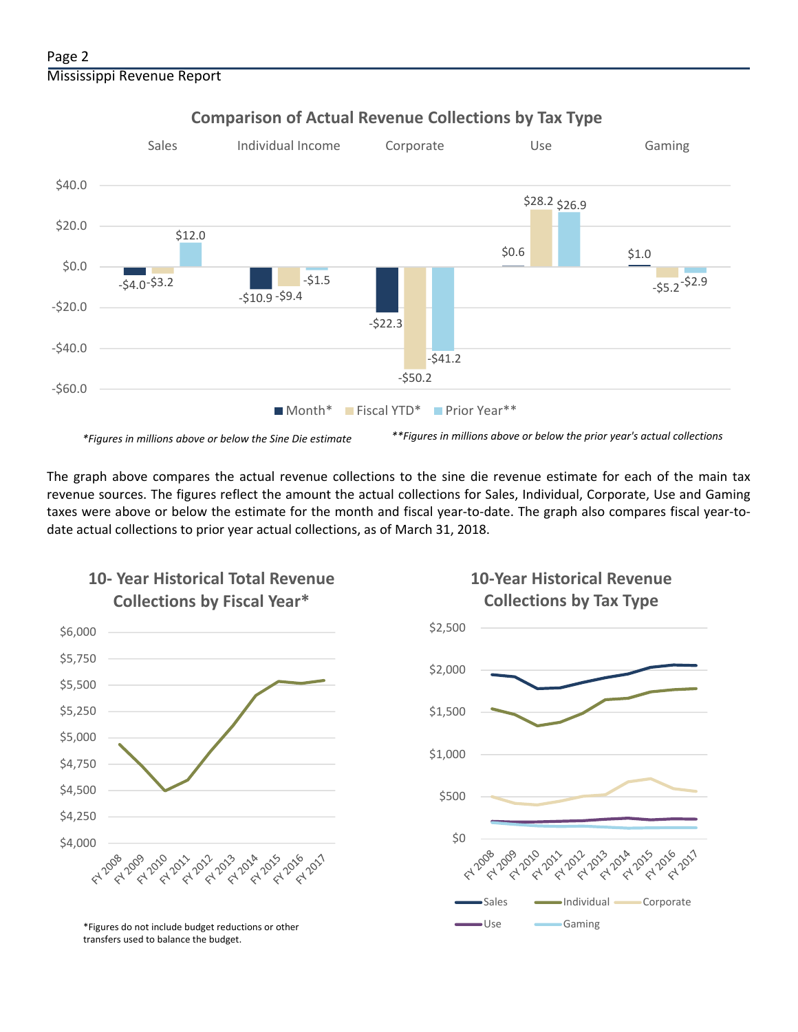

### **Comparison of Actual Revenue Collections by Tax Type**

The graph above compares the actual revenue collections to the sine die revenue estimate for each of the main tax revenue sources. The figures reflect the amount the actual collections for Sales, Individual, Corporate, Use and Gaming taxes were above or below the estimate for the month and fiscal year‐to‐date. The graph also compares fiscal year‐to‐ date actual collections to prior year actual collections, as of March 31, 2018.



**10‐ Year Historical Total Revenue** 

## **10‐Year Historical Revenue Collections by Tax Type**



<sup>\*</sup>Figures do not include budget reductions or other **Caming** Use Gaming transfers used to balance the budget.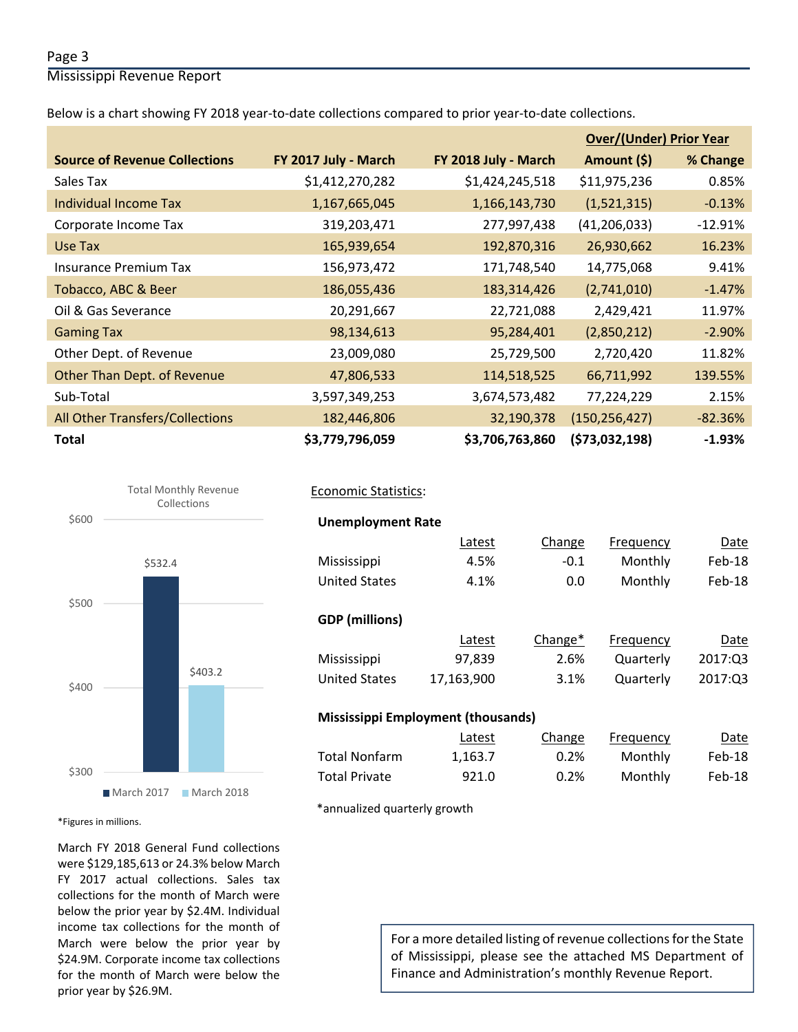#### Page 3

Mississippi Revenue Report

Below is a chart showing FY 2018 year-to-date collections compared to prior year-to-date collections.

|                                      |                      |                      | <b>Over/(Under) Prior Year</b> |           |
|--------------------------------------|----------------------|----------------------|--------------------------------|-----------|
| <b>Source of Revenue Collections</b> | FY 2017 July - March | FY 2018 July - March | Amount (\$)                    | % Change  |
| Sales Tax                            | \$1,412,270,282      | \$1,424,245,518      | \$11,975,236                   | 0.85%     |
| Individual Income Tax                | 1,167,665,045        | 1,166,143,730        | (1,521,315)                    | $-0.13%$  |
| Corporate Income Tax                 | 319,203,471          | 277,997,438          | (41, 206, 033)                 | $-12.91%$ |
| Use Tax                              | 165,939,654          | 192,870,316          | 26,930,662                     | 16.23%    |
| <b>Insurance Premium Tax</b>         | 156,973,472          | 171,748,540          | 14,775,068                     | 9.41%     |
| Tobacco, ABC & Beer                  | 186,055,436          | 183,314,426          | (2,741,010)                    | $-1.47%$  |
| Oil & Gas Severance                  | 20,291,667           | 22,721,088           | 2,429,421                      | 11.97%    |
| <b>Gaming Tax</b>                    | 98,134,613           | 95,284,401           | (2,850,212)                    | $-2.90%$  |
| Other Dept. of Revenue               | 23,009,080           | 25,729,500           | 2,720,420                      | 11.82%    |
| Other Than Dept. of Revenue          | 47,806,533           | 114,518,525          | 66,711,992                     | 139.55%   |
| Sub-Total                            | 3,597,349,253        | 3,674,573,482        | 77,224,229                     | 2.15%     |
| All Other Transfers/Collections      | 182,446,806          | 32,190,378           | (150, 256, 427)                | $-82.36%$ |
| <b>Total</b>                         | \$3,779,796,059      | \$3,706,763,860      | (573,032,198)                  | $-1.93%$  |



#### Economic Statistics:

**Unemployment Rate** 

| ----------------------- |            |         |           |          |
|-------------------------|------------|---------|-----------|----------|
|                         | Latest     | Change  | Frequency | Date     |
| Mississippi             | 4.5%       | $-0.1$  | Monthly   | $Feb-18$ |
| <b>United States</b>    | 4.1%       | 0.0     | Monthly   | $Feb-18$ |
|                         |            |         |           |          |
| <b>GDP</b> (millions)   |            |         |           |          |
|                         | Latest     | Change* | Frequency | Date     |
| Mississippi             | 97,839     | 2.6%    | Quarterly | 2017:Q3  |
| <b>United States</b>    | 17,163,900 | 3.1%    | Quarterly | 2017:Q3  |
|                         |            |         |           |          |

#### **Mississippi Employment (thousands)**

|               | Latest  | Change | Frequency | Date   |
|---------------|---------|--------|-----------|--------|
| Total Nonfarm | 1.163.7 | 0.2%   | Monthly   | Feb-18 |
| Total Private | 921.0   | 0.2%   | Monthly   | Feb-18 |

\*annualized quarterly growth

\*Figures in millions.

March FY 2018 General Fund collections were \$129,185,613 or 24.3% below March FY 2017 actual collections. Sales tax collections for the month of March were below the prior year by \$2.4M. Individual income tax collections for the month of March were below the prior year by \$24.9M. Corporate income tax collections for the month of March were below the prior year by \$26.9M.

For a more detailed listing of revenue collections for the State of Mississippi, please see the attached MS Department of Finance and Administration's monthly Revenue Report.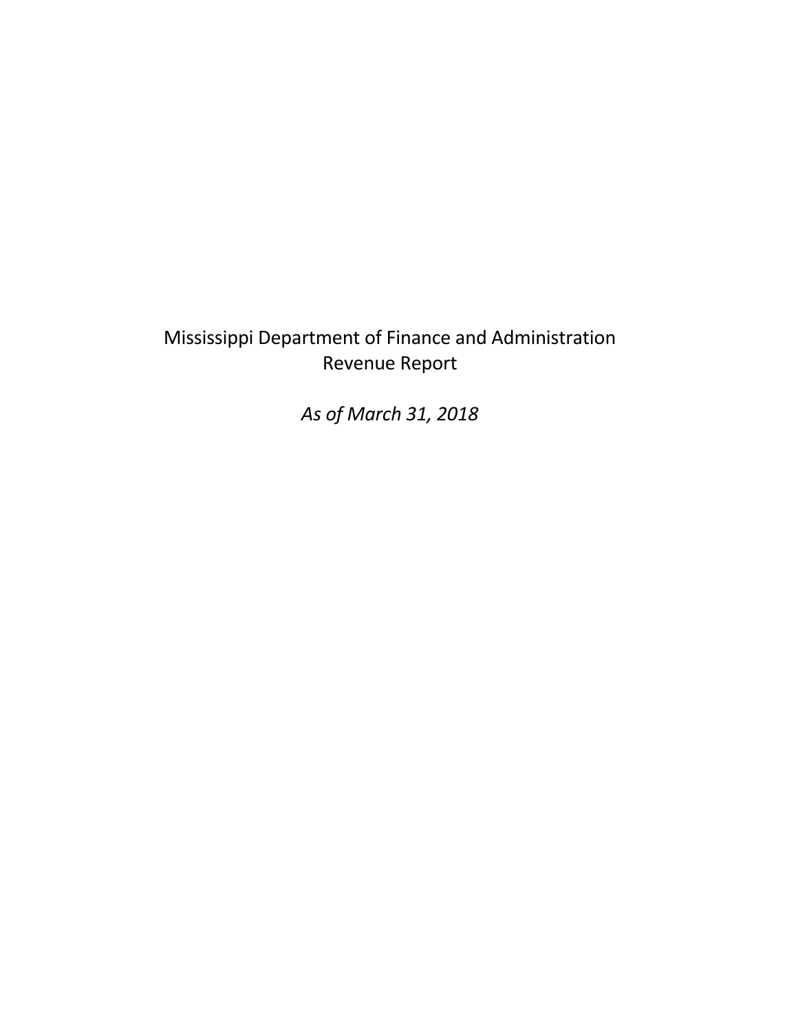## Mississippi Department of Finance and Administration Revenue Report

*As of March 31, 2018*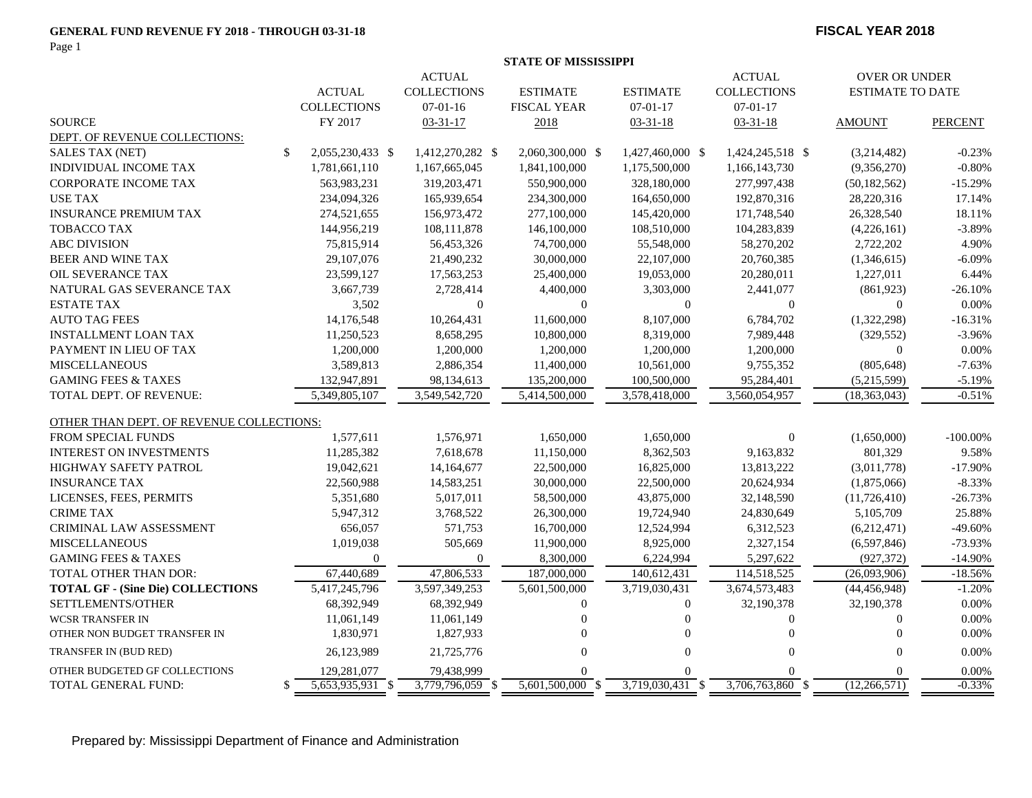#### **GENERAL FUND REVENUE FY 2018 - THROUGH 03-31-18**

Page 1

#### **FISCAL YEAR 2018**

|                                          | <b>STATE OF MISSISSIPPI</b> |                    |                    |                    |                      |                    |                         |                |
|------------------------------------------|-----------------------------|--------------------|--------------------|--------------------|----------------------|--------------------|-------------------------|----------------|
| <b>ACTUAL</b>                            |                             |                    |                    | <b>ACTUAL</b>      | <b>OVER OR UNDER</b> |                    |                         |                |
|                                          |                             | <b>ACTUAL</b>      | <b>COLLECTIONS</b> | <b>ESTIMATE</b>    | <b>ESTIMATE</b>      | <b>COLLECTIONS</b> | <b>ESTIMATE TO DATE</b> |                |
|                                          |                             | <b>COLLECTIONS</b> | $07-01-16$         | <b>FISCAL YEAR</b> | $07 - 01 - 17$       | $07 - 01 - 17$     |                         |                |
| <b>SOURCE</b>                            |                             | FY 2017            | $03 - 31 - 17$     | 2018               | $03 - 31 - 18$       | $03 - 31 - 18$     | <b>AMOUNT</b>           | <b>PERCENT</b> |
| DEPT. OF REVENUE COLLECTIONS:            |                             |                    |                    |                    |                      |                    |                         |                |
| <b>SALES TAX (NET)</b>                   | \$                          | 2,055,230,433 \$   | 1,412,270,282 \$   | 2,060,300,000 \$   | 1,427,460,000 \$     | 1,424,245,518 \$   | (3,214,482)             | $-0.23%$       |
| INDIVIDUAL INCOME TAX                    |                             | 1,781,661,110      | 1,167,665,045      | 1,841,100,000      | 1,175,500,000        | 1,166,143,730      | (9,356,270)             | $-0.80%$       |
| <b>CORPORATE INCOME TAX</b>              |                             | 563,983,231        | 319,203,471        | 550,900,000        | 328,180,000          | 277,997,438        | (50, 182, 562)          | $-15.29%$      |
| <b>USE TAX</b>                           |                             | 234,094,326        | 165,939,654        | 234,300,000        | 164,650,000          | 192,870,316        | 28,220,316              | 17.14%         |
| <b>INSURANCE PREMIUM TAX</b>             |                             | 274,521,655        | 156,973,472        | 277,100,000        | 145,420,000          | 171,748,540        | 26,328,540              | 18.11%         |
| <b>TOBACCO TAX</b>                       |                             | 144,956,219        | 108,111,878        | 146,100,000        | 108,510,000          | 104,283,839        | (4,226,161)             | $-3.89%$       |
| <b>ABC DIVISION</b>                      |                             | 75,815,914         | 56,453,326         | 74,700,000         | 55,548,000           | 58,270,202         | 2,722,202               | 4.90%          |
| <b>BEER AND WINE TAX</b>                 |                             | 29,107,076         | 21,490,232         | 30,000,000         | 22,107,000           | 20,760,385         | (1,346,615)             | $-6.09%$       |
| OIL SEVERANCE TAX                        |                             | 23,599,127         | 17,563,253         | 25,400,000         | 19,053,000           | 20,280,011         | 1,227,011               | 6.44%          |
| NATURAL GAS SEVERANCE TAX                |                             | 3,667,739          | 2,728,414          | 4,400,000          | 3,303,000            | 2,441,077          | (861,923)               | $-26.10%$      |
| <b>ESTATE TAX</b>                        |                             | 3,502              | $\boldsymbol{0}$   | $\mathbf{0}$       | $\mathbf{0}$         | $\Omega$           | $\Omega$                | 0.00%          |
| <b>AUTO TAG FEES</b>                     |                             | 14,176,548         | 10,264,431         | 11,600,000         | 8,107,000            | 6,784,702          | (1,322,298)             | $-16.31%$      |
| <b>INSTALLMENT LOAN TAX</b>              |                             | 11,250,523         | 8,658,295          | 10,800,000         | 8,319,000            | 7,989,448          | (329, 552)              | $-3.96%$       |
| PAYMENT IN LIEU OF TAX                   |                             | 1,200,000          | 1,200,000          | 1,200,000          | 1,200,000            | 1,200,000          | $\overline{0}$          | 0.00%          |
| <b>MISCELLANEOUS</b>                     |                             | 3,589,813          | 2,886,354          | 11,400,000         | 10,561,000           | 9,755,352          | (805, 648)              | $-7.63%$       |
| <b>GAMING FEES &amp; TAXES</b>           |                             | 132,947,891        | 98,134,613         | 135,200,000        | 100,500,000          | 95,284,401         | (5,215,599)             | $-5.19%$       |
| TOTAL DEPT. OF REVENUE:                  |                             | 5,349,805,107      | 3,549,542,720      | 5,414,500,000      | 3,578,418,000        | 3,560,054,957      | (18, 363, 043)          | $-0.51%$       |
| OTHER THAN DEPT. OF REVENUE COLLECTIONS: |                             |                    |                    |                    |                      |                    |                         |                |
| <b>FROM SPECIAL FUNDS</b>                |                             | 1,577,611          | 1,576,971          | 1,650,000          | 1,650,000            | $\overline{0}$     | (1,650,000)             | $-100.00\%$    |
| <b>INTEREST ON INVESTMENTS</b>           |                             | 11,285,382         | 7,618,678          | 11,150,000         | 8,362,503            | 9,163,832          | 801,329                 | 9.58%          |
| HIGHWAY SAFETY PATROL                    |                             | 19,042,621         | 14,164,677         | 22,500,000         | 16,825,000           | 13,813,222         | (3,011,778)             | $-17.90%$      |
| <b>INSURANCE TAX</b>                     |                             | 22,560,988         | 14,583,251         | 30,000,000         | 22,500,000           | 20,624,934         | (1,875,066)             | $-8.33%$       |
| LICENSES, FEES, PERMITS                  |                             | 5,351,680          | 5,017,011          | 58,500,000         | 43,875,000           | 32,148,590         | (11,726,410)            | $-26.73%$      |
| <b>CRIME TAX</b>                         |                             | 5,947,312          | 3,768,522          | 26,300,000         | 19,724,940           | 24,830,649         | 5,105,709               | 25.88%         |
| <b>CRIMINAL LAW ASSESSMENT</b>           |                             | 656,057            | 571,753            | 16,700,000         | 12,524,994           | 6,312,523          | (6,212,471)             | $-49.60%$      |
| <b>MISCELLANEOUS</b>                     |                             | 1,019,038          | 505,669            | 11,900,000         | 8,925,000            | 2,327,154          | (6,597,846)             | $-73.93%$      |
| <b>GAMING FEES &amp; TAXES</b>           |                             | $\Omega$           | $\mathbf{0}$       | 8,300,000          | 6,224,994            | 5,297,622          | (927, 372)              | $-14.90%$      |
| <b>TOTAL OTHER THAN DOR:</b>             |                             | 67,440,689         | 47,806,533         | 187,000,000        | 140,612,431          | 114,518,525        | (26,093,906)            | $-18.56%$      |
| <b>TOTAL GF - (Sine Die) COLLECTIONS</b> |                             | 5,417,245,796      | 3,597,349,253      | 5,601,500,000      | 3,719,030,431        | 3,674,573,483      | (44, 456, 948)          | $-1.20%$       |
| SETTLEMENTS/OTHER                        |                             | 68,392,949         | 68,392,949         | $\mathbf{0}$       | $\mathbf{0}$         | 32,190,378         | 32,190,378              | 0.00%          |
| <b>WCSR TRANSFER IN</b>                  |                             | 11,061,149         | 11,061,149         |                    | $\theta$             | $\Omega$           | $\overline{0}$          | 0.00%          |
| OTHER NON BUDGET TRANSFER IN             |                             | 1,830,971          | 1,827,933          | $\Omega$           | $\theta$             | $\Omega$           | $\Omega$                | 0.00%          |
| TRANSFER IN (BUD RED)                    |                             | 26,123,989         | 21,725,776         | $\Omega$           | $\theta$             | $\Omega$           | $\Omega$                | 0.00%          |
| OTHER BUDGETED GF COLLECTIONS            |                             | 129,281,077        | 79,438,999         |                    |                      |                    | $\Omega$                | 0.00%          |
| TOTAL GENERAL FUND:                      | \$                          | 5,653,935,931 \$   | $3,779,796,059$ \$ | 5,601,500,000 \$   | $3,719,030,431$ \$   | 3,706,763,860 \$   | (12,266,571)            | $-0.33%$       |

Prepared by: Mississippi Department of Finance and Administration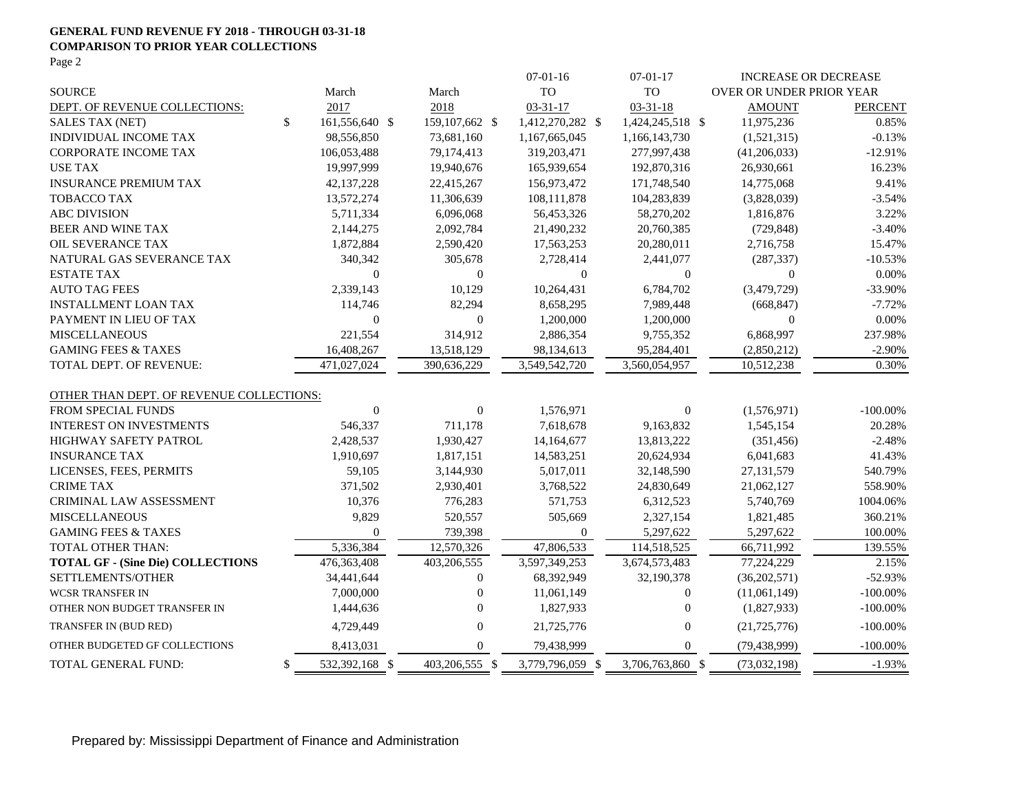#### **GENERAL FUND REVENUE FY 2018 - THROUGH 03-31-18 COMPARISON TO PRIOR YEAR COLLECTIONS** Page 2

|                                          |              |                |                  | $07-01-16$       | $07-01-17$       | <b>INCREASE OR DECREASE</b>     |                |
|------------------------------------------|--------------|----------------|------------------|------------------|------------------|---------------------------------|----------------|
| <b>SOURCE</b>                            |              | March          | March            | <b>TO</b>        | TO               | <b>OVER OR UNDER PRIOR YEAR</b> |                |
| DEPT. OF REVENUE COLLECTIONS:            |              | 2017           | 2018             | $03 - 31 - 17$   | $03 - 31 - 18$   | <b>AMOUNT</b>                   | <b>PERCENT</b> |
| <b>SALES TAX (NET)</b>                   | $\mathbb{S}$ | 161,556,640 \$ | 159, 107, 662 \$ | 1,412,270,282 \$ | 1,424,245,518 \$ | 11,975,236                      | 0.85%          |
| INDIVIDUAL INCOME TAX                    |              | 98,556,850     | 73,681,160       | 1,167,665,045    | 1,166,143,730    | (1,521,315)                     | $-0.13%$       |
| <b>CORPORATE INCOME TAX</b>              |              | 106,053,488    | 79,174,413       | 319,203,471      | 277,997,438      | (41,206,033)                    | $-12.91%$      |
| <b>USE TAX</b>                           |              | 19,997,999     | 19,940,676       | 165,939,654      | 192,870,316      | 26,930,661                      | 16.23%         |
| <b>INSURANCE PREMIUM TAX</b>             |              | 42,137,228     | 22,415,267       | 156,973,472      | 171,748,540      | 14,775,068                      | 9.41%          |
| <b>TOBACCO TAX</b>                       |              | 13,572,274     | 11,306,639       | 108,111,878      | 104,283,839      | (3,828,039)                     | $-3.54%$       |
| <b>ABC DIVISION</b>                      |              | 5,711,334      | 6,096,068        | 56,453,326       | 58,270,202       | 1,816,876                       | 3.22%          |
| <b>BEER AND WINE TAX</b>                 |              | 2,144,275      | 2,092,784        | 21,490,232       | 20,760,385       | (729, 848)                      | $-3.40%$       |
| OIL SEVERANCE TAX                        |              | 1,872,884      | 2,590,420        | 17,563,253       | 20,280,011       | 2,716,758                       | 15.47%         |
| NATURAL GAS SEVERANCE TAX                |              | 340,342        | 305,678          | 2,728,414        | 2,441,077        | (287, 337)                      | $-10.53%$      |
| <b>ESTATE TAX</b>                        |              | $\mathbf{0}$   | $\Omega$         | $\overline{0}$   | $\theta$         | $\Omega$                        | 0.00%          |
| <b>AUTO TAG FEES</b>                     |              | 2,339,143      | 10,129           | 10,264,431       | 6,784,702        | (3,479,729)                     | -33.90%        |
| <b>INSTALLMENT LOAN TAX</b>              |              | 114,746        | 82,294           | 8,658,295        | 7,989,448        | (668, 847)                      | $-7.72%$       |
| PAYMENT IN LIEU OF TAX                   |              | $\overline{0}$ | $\theta$         | 1,200,000        | 1,200,000        | $\Omega$                        | $0.00\%$       |
| <b>MISCELLANEOUS</b>                     |              | 221,554        | 314,912          | 2,886,354        | 9,755,352        | 6,868,997                       | 237.98%        |
| <b>GAMING FEES &amp; TAXES</b>           |              | 16,408,267     | 13,518,129       | 98,134,613       | 95,284,401       | (2,850,212)                     | $-2.90%$       |
| TOTAL DEPT. OF REVENUE:                  |              | 471,027,024    | 390,636,229      | 3,549,542,720    | 3,560,054,957    | 10,512,238                      | 0.30%          |
| OTHER THAN DEPT. OF REVENUE COLLECTIONS: |              |                |                  |                  |                  |                                 |                |
| FROM SPECIAL FUNDS                       |              | $\overline{0}$ | $\overline{0}$   | 1,576,971        | $\mathbf{0}$     | (1,576,971)                     | $-100.00\%$    |
| <b>INTEREST ON INVESTMENTS</b>           |              | 546,337        | 711,178          | 7,618,678        | 9,163,832        | 1,545,154                       | 20.28%         |
| <b>HIGHWAY SAFETY PATROL</b>             |              | 2,428,537      | 1,930,427        | 14,164,677       | 13,813,222       | (351, 456)                      | $-2.48%$       |
| <b>INSURANCE TAX</b>                     |              | 1,910,697      | 1,817,151        | 14,583,251       | 20,624,934       | 6,041,683                       | 41.43%         |
| LICENSES, FEES, PERMITS                  |              | 59,105         | 3,144,930        | 5,017,011        | 32,148,590       | 27,131,579                      | 540.79%        |
| <b>CRIME TAX</b>                         |              | 371,502        | 2,930,401        | 3,768,522        | 24,830,649       | 21,062,127                      | 558.90%        |
| CRIMINAL LAW ASSESSMENT                  |              | 10,376         | 776,283          | 571,753          | 6,312,523        | 5,740,769                       | 1004.06%       |
| <b>MISCELLANEOUS</b>                     |              | 9,829          | 520,557          | 505,669          | 2,327,154        | 1,821,485                       | 360.21%        |
| <b>GAMING FEES &amp; TAXES</b>           |              | $\Omega$       | 739,398          | $\mathbf{0}$     | 5,297,622        | 5,297,622                       | 100.00%        |
| TOTAL OTHER THAN:                        |              | 5,336,384      | 12,570,326       | 47,806,533       | 114,518,525      | 66,711,992                      | 139.55%        |
| <b>TOTAL GF - (Sine Die) COLLECTIONS</b> |              | 476,363,408    | 403,206,555      | 3,597,349,253    | 3,674,573,483    | 77,224,229                      | 2.15%          |
| SETTLEMENTS/OTHER                        |              | 34,441,644     | $\boldsymbol{0}$ | 68,392,949       | 32,190,378       | (36, 202, 571)                  | $-52.93%$      |
| <b>WCSR TRANSFER IN</b>                  |              | 7,000,000      | $\Omega$         | 11,061,149       | $\theta$         | (11,061,149)                    | $-100.00\%$    |
| OTHER NON BUDGET TRANSFER IN             |              | 1,444,636      | $\Omega$         | 1,827,933        | $\theta$         | (1,827,933)                     | $-100.00\%$    |
| TRANSFER IN (BUD RED)                    |              | 4,729,449      | $\overline{0}$   | 21,725,776       | $\mathbf{0}$     | (21, 725, 776)                  | $-100.00\%$    |
| OTHER BUDGETED GF COLLECTIONS            |              | 8,413,031      | $\Omega$         | 79,438,999       | $\mathbf{0}$     | (79, 438, 999)                  | $-100.00\%$    |
| TOTAL GENERAL FUND:                      | \$           | 532,392,168 \$ | 403,206,555 \$   | 3,779,796,059 \$ | 3,706,763,860 \$ | (73,032,198)                    | $-1.93%$       |